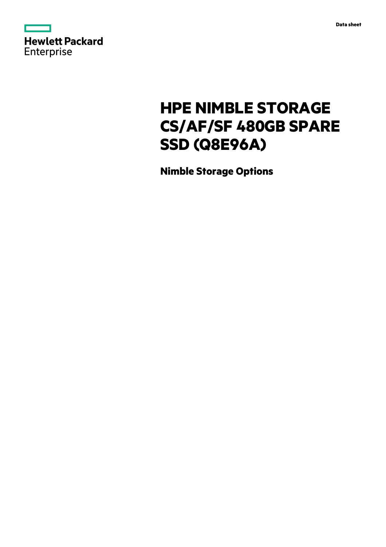

# **HPE NIMBLE STORAGE CS/AF/SF 480GB SPARE SSD (Q8E96A)**

**Nimble Storage Options**